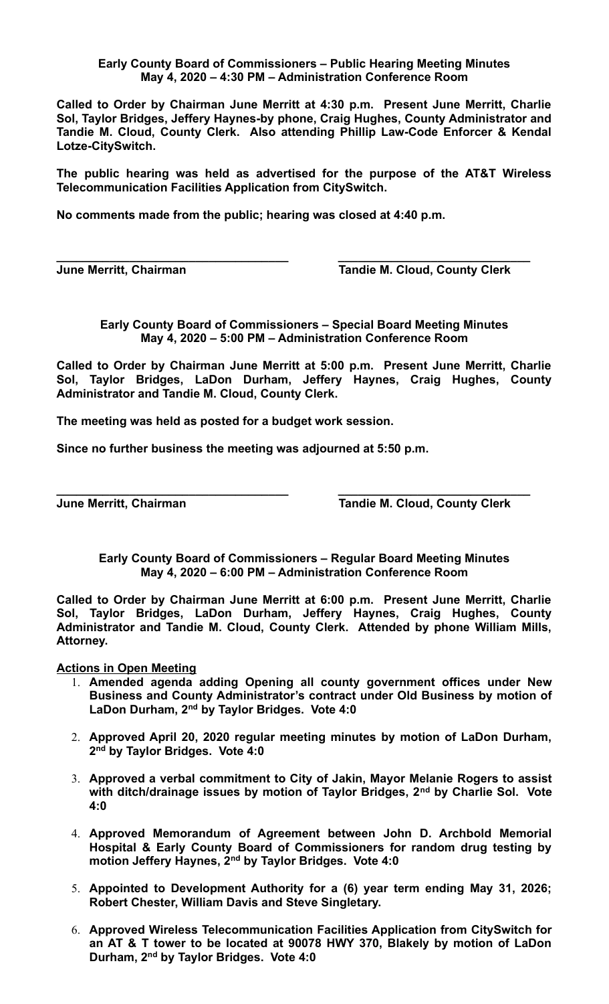## **Early County Board of Commissioners – Public Hearing Meeting Minutes May 4, 2020 – 4:30 PM – Administration Conference Room**

**Called to Order by Chairman June Merritt at 4:30 p.m. Present June Merritt, Charlie Sol, Taylor Bridges, Jeffery Haynes-by phone, Craig Hughes, County Administrator and Tandie M. Cloud, County Clerk. Also attending Phillip Law-Code Enforcer & Kendal Lotze-CitySwitch.** 

**The public hearing was held as advertised for the purpose of the AT&T Wireless Telecommunication Facilities Application from CitySwitch.**

**No comments made from the public; hearing was closed at 4:40 p.m.**

**June Merritt, Chairman Tandie M. Cloud, County Clerk**

**Early County Board of Commissioners – Special Board Meeting Minutes May 4, 2020 – 5:00 PM – Administration Conference Room**

**\_\_\_\_\_\_\_\_\_\_\_\_\_\_\_\_\_\_\_\_\_\_\_\_\_\_\_\_\_\_\_\_\_\_\_ \_\_\_\_\_\_\_\_\_\_\_\_\_\_\_\_\_\_\_\_\_\_\_\_\_\_\_\_\_**

**Called to Order by Chairman June Merritt at 5:00 p.m. Present June Merritt, Charlie Sol, Taylor Bridges, LaDon Durham, Jeffery Haynes, Craig Hughes, County Administrator and Tandie M. Cloud, County Clerk.** 

**The meeting was held as posted for a budget work session.**

**Since no further business the meeting was adjourned at 5:50 p.m.**

**\_\_\_\_\_\_\_\_\_\_\_\_\_\_\_\_\_\_\_\_\_\_\_\_\_\_\_\_\_\_\_\_\_\_\_ \_\_\_\_\_\_\_\_\_\_\_\_\_\_\_\_\_\_\_\_\_\_\_\_\_\_\_\_\_ June Merritt, Chairman Community Clerk** Tandie M. Cloud, County Clerk

**Early County Board of Commissioners – Regular Board Meeting Minutes May 4, 2020 – 6:00 PM – Administration Conference Room**

**Called to Order by Chairman June Merritt at 6:00 p.m. Present June Merritt, Charlie Sol, Taylor Bridges, LaDon Durham, Jeffery Haynes, Craig Hughes, County Administrator and Tandie M. Cloud, County Clerk. Attended by phone William Mills, Attorney.** 

**Actions in Open Meeting**

- 1. **Amended agenda adding Opening all county government offices under New Business and County Administrator's contract under Old Business by motion of LaDon Durham, 2nd by Taylor Bridges. Vote 4:0**
- 2. **Approved April 20, 2020 regular meeting minutes by motion of LaDon Durham, 2 nd by Taylor Bridges. Vote 4:0**
- 3. **Approved a verbal commitment to City of Jakin, Mayor Melanie Rogers to assist with ditch/drainage issues by motion of Taylor Bridges, 2nd by Charlie Sol. Vote 4:0**
- 4. **Approved Memorandum of Agreement between John D. Archbold Memorial Hospital & Early County Board of Commissioners for random drug testing by motion Jeffery Haynes, 2nd by Taylor Bridges. Vote 4:0**
- 5. **Appointed to Development Authority for a (6) year term ending May 31, 2026; Robert Chester, William Davis and Steve Singletary.**
- 6. **Approved Wireless Telecommunication Facilities Application from CitySwitch for an AT & T tower to be located at 90078 HWY 370, Blakely by motion of LaDon Durham, 2nd by Taylor Bridges. Vote 4:0**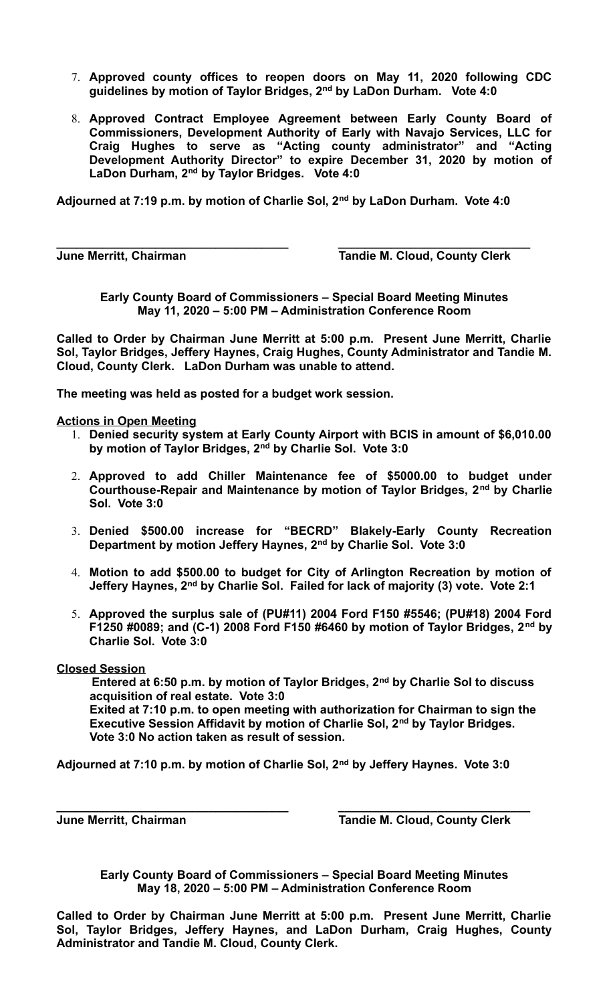- 7. **Approved county offices to reopen doors on May 11, 2020 following CDC guidelines by motion of Taylor Bridges, 2nd by LaDon Durham. Vote 4:0**
- 8. **Approved Contract Employee Agreement between Early County Board of Commissioners, Development Authority of Early with Navajo Services, LLC for Craig Hughes to serve as "Acting county administrator" and "Acting Development Authority Director" to expire December 31, 2020 by motion of LaDon Durham, 2nd by Taylor Bridges. Vote 4:0**

**Adjourned at 7:19 p.m. by motion of Charlie Sol, 2nd by LaDon Durham. Vote 4:0**

**\_\_\_\_\_\_\_\_\_\_\_\_\_\_\_\_\_\_\_\_\_\_\_\_\_\_\_\_\_\_\_\_\_\_\_ \_\_\_\_\_\_\_\_\_\_\_\_\_\_\_\_\_\_\_\_\_\_\_\_\_\_\_\_\_**

**June Merritt, Chairman Tandie M. Cloud, County Clerk** 

**Early County Board of Commissioners – Special Board Meeting Minutes May 11, 2020 – 5:00 PM – Administration Conference Room**

**Called to Order by Chairman June Merritt at 5:00 p.m. Present June Merritt, Charlie Sol, Taylor Bridges, Jeffery Haynes, Craig Hughes, County Administrator and Tandie M. Cloud, County Clerk. LaDon Durham was unable to attend.**

**The meeting was held as posted for a budget work session.**

**Actions in Open Meeting**

- 1. **Denied security system at Early County Airport with BCIS in amount of \$6,010.00 by motion of Taylor Bridges, 2nd by Charlie Sol. Vote 3:0**
- 2. **Approved to add Chiller Maintenance fee of \$5000.00 to budget under Courthouse-Repair and Maintenance by motion of Taylor Bridges, 2nd by Charlie Sol. Vote 3:0**
- 3. **Denied \$500.00 increase for "BECRD" Blakely-Early County Recreation Department by motion Jeffery Haynes, 2nd by Charlie Sol. Vote 3:0**
- 4. **Motion to add \$500.00 to budget for City of Arlington Recreation by motion of Jeffery Haynes, 2nd by Charlie Sol. Failed for lack of majority (3) vote. Vote 2:1**
- 5. **Approved the surplus sale of (PU#11) 2004 Ford F150 #5546; (PU#18) 2004 Ford F1250 #0089; and (C-1) 2008 Ford F150 #6460 by motion of Taylor Bridges, 2nd by Charlie Sol. Vote 3:0**

**Closed Session**

**Entered at 6:50 p.m. by motion of Taylor Bridges, 2nd by Charlie Sol to discuss acquisition of real estate. Vote 3:0 Exited at 7:10 p.m. to open meeting with authorization for Chairman to sign the Executive Session Affidavit by motion of Charlie Sol, 2nd by Taylor Bridges. Vote 3:0 No action taken as result of session.**

**Adjourned at 7:10 p.m. by motion of Charlie Sol, 2nd by Jeffery Haynes. Vote 3:0**

**\_\_\_\_\_\_\_\_\_\_\_\_\_\_\_\_\_\_\_\_\_\_\_\_\_\_\_\_\_\_\_\_\_\_\_ \_\_\_\_\_\_\_\_\_\_\_\_\_\_\_\_\_\_\_\_\_\_\_\_\_\_\_\_\_ June Merritt, Chairman Tandie M. Cloud, County Clerk**

**Early County Board of Commissioners – Special Board Meeting Minutes May 18, 2020 – 5:00 PM – Administration Conference Room**

**Called to Order by Chairman June Merritt at 5:00 p.m. Present June Merritt, Charlie Sol, Taylor Bridges, Jeffery Haynes, and LaDon Durham, Craig Hughes, County Administrator and Tandie M. Cloud, County Clerk.**